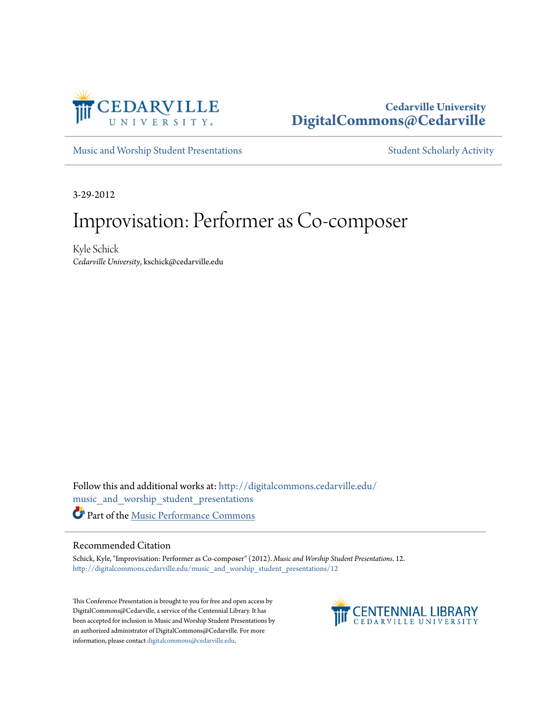

## **Cedarville University [DigitalCommons@Cedarville](http://digitalcommons.cedarville.edu?utm_source=digitalcommons.cedarville.edu%2Fmusic_and_worship_student_presentations%2F12&utm_medium=PDF&utm_campaign=PDFCoverPages)**

[Music and Worship Student Presentations](http://digitalcommons.cedarville.edu/music_and_worship_student_presentations?utm_source=digitalcommons.cedarville.edu%2Fmusic_and_worship_student_presentations%2F12&utm_medium=PDF&utm_campaign=PDFCoverPages) [Student Scholarly Activity](http://digitalcommons.cedarville.edu/music_student_scholarly_activity?utm_source=digitalcommons.cedarville.edu%2Fmusic_and_worship_student_presentations%2F12&utm_medium=PDF&utm_campaign=PDFCoverPages)

3-29-2012

# Improvisation: Performer as Co-composer

Kyle Schick *Cedarville University*, kschick@cedarville.edu

Follow this and additional works at: [http://digitalcommons.cedarville.edu/](http://digitalcommons.cedarville.edu/music_and_worship_student_presentations?utm_source=digitalcommons.cedarville.edu%2Fmusic_and_worship_student_presentations%2F12&utm_medium=PDF&utm_campaign=PDFCoverPages) [music\\_and\\_worship\\_student\\_presentations](http://digitalcommons.cedarville.edu/music_and_worship_student_presentations?utm_source=digitalcommons.cedarville.edu%2Fmusic_and_worship_student_presentations%2F12&utm_medium=PDF&utm_campaign=PDFCoverPages) Part of the [Music Performance Commons](http://network.bepress.com/hgg/discipline/1128?utm_source=digitalcommons.cedarville.edu%2Fmusic_and_worship_student_presentations%2F12&utm_medium=PDF&utm_campaign=PDFCoverPages)

#### Recommended Citation

Schick, Kyle, "Improvisation: Performer as Co-composer" (2012). *Music and Worship Student Presentations*. 12. [http://digitalcommons.cedarville.edu/music\\_and\\_worship\\_student\\_presentations/12](http://digitalcommons.cedarville.edu/music_and_worship_student_presentations/12?utm_source=digitalcommons.cedarville.edu%2Fmusic_and_worship_student_presentations%2F12&utm_medium=PDF&utm_campaign=PDFCoverPages)

This Conference Presentation is brought to you for free and open access by DigitalCommons@Cedarville, a service of the Centennial Library. It has been accepted for inclusion in Music and Worship Student Presentations by an authorized administrator of DigitalCommons@Cedarville. For more information, please contact [digitalcommons@cedarville.edu.](mailto:digitalcommons@cedarville.edu)

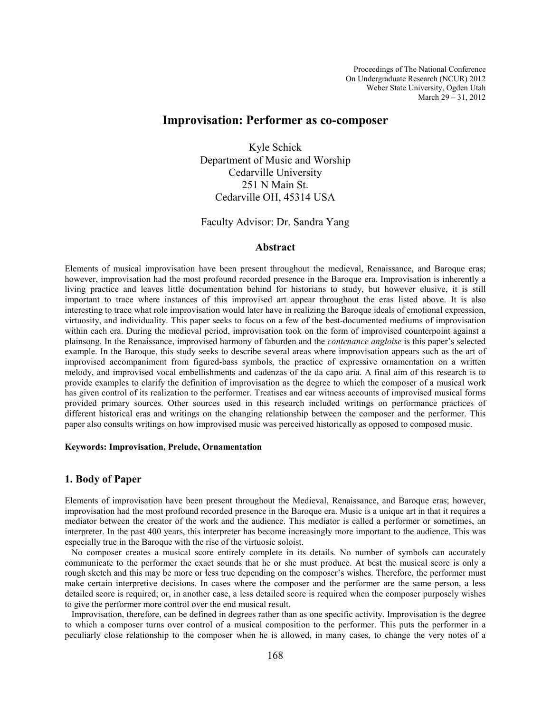Proceedings of The National Conference On Undergraduate Research (NCUR) 2012 Weber State University, Ogden Utah March 29 – 31, 2012

### Improvisation: Performer as co-composer

Kyle Schick Department of Music and Worship Cedarville University 251 N Main St. Cedarville OH, 45314 USA

Faculty Advisor: Dr. Sandra Yang

#### Abstract

Elements of musical improvisation have been present throughout the medieval, Renaissance, and Baroque eras; however, improvisation had the most profound recorded presence in the Baroque era. Improvisation is inherently a living practice and leaves little documentation behind for historians to study, but however elusive, it is still important to trace where instances of this improvised art appear throughout the eras listed above. It is also interesting to trace what role improvisation would later have in realizing the Baroque ideals of emotional expression, virtuosity, and individuality. This paper seeks to focus on a few of the best-documented mediums of improvisation within each era. During the medieval period, improvisation took on the form of improvised counterpoint against a plainsong. In the Renaissance, improvised harmony of faburden and the contenance angloise is this paper's selected example. In the Baroque, this study seeks to describe several areas where improvisation appears such as the art of improvised accompaniment from figured-bass symbols, the practice of expressive ornamentation on a written melody, and improvised vocal embellishments and cadenzas of the da capo aria. A final aim of this research is to provide examples to clarify the definition of improvisation as the degree to which the composer of a musical work has given control of its realization to the performer. Treatises and ear witness accounts of improvised musical forms provided primary sources. Other sources used in this research included writings on performance practices of different historical eras and writings on the changing relationship between the composer and the performer. This paper also consults writings on how improvised music was perceived historically as opposed to composed music.

#### Keywords: Improvisation, Prelude, Ornamentation

#### 1. Body of Paper

Elements of improvisation have been present throughout the Medieval, Renaissance, and Baroque eras; however, improvisation had the most profound recorded presence in the Baroque era. Music is a unique art in that it requires a mediator between the creator of the work and the audience. This mediator is called a performer or sometimes, an interpreter. In the past 400 years, this interpreter has become increasingly more important to the audience. This was especially true in the Baroque with the rise of the virtuosic soloist.

 No composer creates a musical score entirely complete in its details. No number of symbols can accurately communicate to the performer the exact sounds that he or she must produce. At best the musical score is only a rough sketch and this may be more or less true depending on the composer's wishes. Therefore, the performer must make certain interpretive decisions. In cases where the composer and the performer are the same person, a less detailed score is required; or, in another case, a less detailed score is required when the composer purposely wishes to give the performer more control over the end musical result.

 Improvisation, therefore, can be defined in degrees rather than as one specific activity. Improvisation is the degree to which a composer turns over control of a musical composition to the performer. This puts the performer in a peculiarly close relationship to the composer when he is allowed, in many cases, to change the very notes of a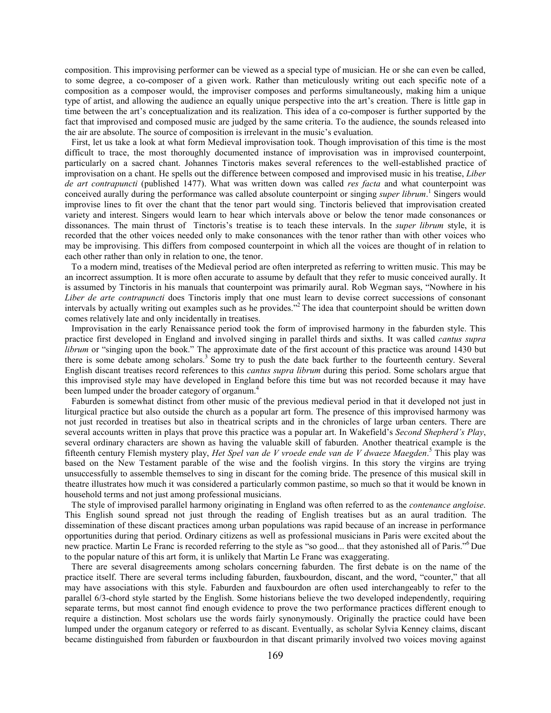composition. This improvising performer can be viewed as a special type of musician. He or she can even be called, to some degree, a co-composer of a given work. Rather than meticulously writing out each specific note of a composition as a composer would, the improviser composes and performs simultaneously, making him a unique type of artist, and allowing the audience an equally unique perspective into the art's creation. There is little gap in time between the art's conceptualization and its realization. This idea of a co-composer is further supported by the fact that improvised and composed music are judged by the same criteria. To the audience, the sounds released into the air are absolute. The source of composition is irrelevant in the music's evaluation.

 First, let us take a look at what form Medieval improvisation took. Though improvisation of this time is the most difficult to trace, the most thoroughly documented instance of improvisation was in improvised counterpoint, particularly on a sacred chant. Johannes Tinctoris makes several references to the well-established practice of improvisation on a chant. He spells out the difference between composed and improvised music in his treatise, Liber de art contrapuncti (published 1477). What was written down was called res facta and what counterpoint was conceived aurally during the performance was called absolute counterpoint or singing super librum.<sup>1</sup> Singers would improvise lines to fit over the chant that the tenor part would sing. Tinctoris believed that improvisation created variety and interest. Singers would learn to hear which intervals above or below the tenor made consonances or dissonances. The main thrust of Tinctoris's treatise is to teach these intervals. In the *super librum* style, it is recorded that the other voices needed only to make consonances with the tenor rather than with other voices who may be improvising. This differs from composed counterpoint in which all the voices are thought of in relation to each other rather than only in relation to one, the tenor.

 To a modern mind, treatises of the Medieval period are often interpreted as referring to written music. This may be an incorrect assumption. It is more often accurate to assume by default that they refer to music conceived aurally. It is assumed by Tinctoris in his manuals that counterpoint was primarily aural. Rob Wegman says, "Nowhere in his Liber de arte contrapuncti does Tinctoris imply that one must learn to devise correct successions of consonant intervals by actually writing out examples such as he provides."<sup>2</sup> The idea that counterpoint should be written down comes relatively late and only incidentally in treatises.

 Improvisation in the early Renaissance period took the form of improvised harmony in the faburden style. This practice first developed in England and involved singing in parallel thirds and sixths. It was called cantus supra librum or "singing upon the book." The approximate date of the first account of this practice was around 1430 but there is some debate among scholars.<sup>3</sup> Some try to push the date back further to the fourteenth century. Several English discant treatises record references to this cantus supra librum during this period. Some scholars argue that this improvised style may have developed in England before this time but was not recorded because it may have been lumped under the broader category of organum.<sup>4</sup>

 Faburden is somewhat distinct from other music of the previous medieval period in that it developed not just in liturgical practice but also outside the church as a popular art form. The presence of this improvised harmony was not just recorded in treatises but also in theatrical scripts and in the chronicles of large urban centers. There are several accounts written in plays that prove this practice was a popular art. In Wakefield's Second Shepherd's Play, several ordinary characters are shown as having the valuable skill of faburden. Another theatrical example is the fifteenth century Flemish mystery play, Het Spel van de V vroede ende van de V dwaeze Maegden.<sup>5</sup> This play was based on the New Testament parable of the wise and the foolish virgins. In this story the virgins are trying unsuccessfully to assemble themselves to sing in discant for the coming bride. The presence of this musical skill in theatre illustrates how much it was considered a particularly common pastime, so much so that it would be known in household terms and not just among professional musicians.

 The style of improvised parallel harmony originating in England was often referred to as the contenance angloise. This English sound spread not just through the reading of English treatises but as an aural tradition. The dissemination of these discant practices among urban populations was rapid because of an increase in performance opportunities during that period. Ordinary citizens as well as professional musicians in Paris were excited about the new practice. Martin Le Franc is recorded referring to the style as "so good... that they astonished all of Paris."<sup>6</sup>Due to the popular nature of this art form, it is unlikely that Martin Le Franc was exaggerating.

 There are several disagreements among scholars concerning faburden. The first debate is on the name of the practice itself. There are several terms including faburden, fauxbourdon, discant, and the word, "counter," that all may have associations with this style. Faburden and fauxbourdon are often used interchangeably to refer to the parallel 6/3-chord style started by the English. Some historians believe the two developed independently, requiring separate terms, but most cannot find enough evidence to prove the two performance practices different enough to require a distinction. Most scholars use the words fairly synonymously. Originally the practice could have been lumped under the organum category or referred to as discant. Eventually, as scholar Sylvia Kenney claims, discant became distinguished from faburden or fauxbourdon in that discant primarily involved two voices moving against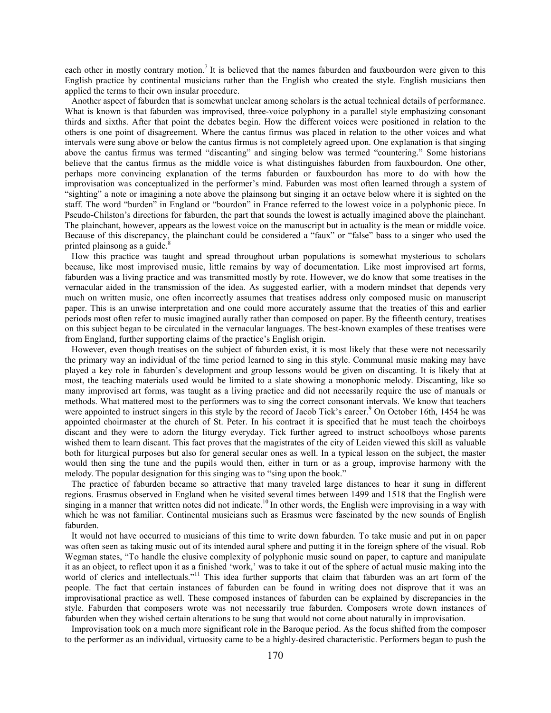each other in mostly contrary motion.<sup>7</sup> It is believed that the names faburden and fauxbourdon were given to this English practice by continental musicians rather than the English who created the style. English musicians then applied the terms to their own insular procedure.

 Another aspect of faburden that is somewhat unclear among scholars is the actual technical details of performance. What is known is that faburden was improvised, three-voice polyphony in a parallel style emphasizing consonant thirds and sixths. After that point the debates begin. How the different voices were positioned in relation to the others is one point of disagreement. Where the cantus firmus was placed in relation to the other voices and what intervals were sung above or below the cantus firmus is not completely agreed upon. One explanation is that singing above the cantus firmus was termed "discanting" and singing below was termed "countering." Some historians believe that the cantus firmus as the middle voice is what distinguishes faburden from fauxbourdon. One other, perhaps more convincing explanation of the terms faburden or fauxbourdon has more to do with how the improvisation was conceptualized in the performer's mind. Faburden was most often learned through a system of "sighting" a note or imagining a note above the plainsong but singing it an octave below where it is sighted on the staff. The word "burden" in England or "bourdon" in France referred to the lowest voice in a polyphonic piece. In Pseudo-Chilston's directions for faburden, the part that sounds the lowest is actually imagined above the plainchant. The plainchant, however, appears as the lowest voice on the manuscript but in actuality is the mean or middle voice. Because of this discrepancy, the plainchant could be considered a "faux" or "false" bass to a singer who used the printed plainsong as a guide.<sup>8</sup>

 How this practice was taught and spread throughout urban populations is somewhat mysterious to scholars because, like most improvised music, little remains by way of documentation. Like most improvised art forms, faburden was a living practice and was transmitted mostly by rote. However, we do know that some treatises in the vernacular aided in the transmission of the idea. As suggested earlier, with a modern mindset that depends very much on written music, one often incorrectly assumes that treatises address only composed music on manuscript paper. This is an unwise interpretation and one could more accurately assume that the treaties of this and earlier periods most often refer to music imagined aurally rather than composed on paper. By the fifteenth century, treatises on this subject began to be circulated in the vernacular languages. The best-known examples of these treatises were from England, further supporting claims of the practice's English origin.

 However, even though treatises on the subject of faburden exist, it is most likely that these were not necessarily the primary way an individual of the time period learned to sing in this style. Communal music making may have played a key role in faburden's development and group lessons would be given on discanting. It is likely that at most, the teaching materials used would be limited to a slate showing a monophonic melody. Discanting, like so many improvised art forms, was taught as a living practice and did not necessarily require the use of manuals or methods. What mattered most to the performers was to sing the correct consonant intervals. We know that teachers were appointed to instruct singers in this style by the record of Jacob Tick's career.<sup>9</sup> On October 16th, 1454 he was appointed choirmaster at the church of St. Peter. In his contract it is specified that he must teach the choirboys discant and they were to adorn the liturgy everyday. Tick further agreed to instruct schoolboys whose parents wished them to learn discant. This fact proves that the magistrates of the city of Leiden viewed this skill as valuable both for liturgical purposes but also for general secular ones as well. In a typical lesson on the subject, the master would then sing the tune and the pupils would then, either in turn or as a group, improvise harmony with the melody. The popular designation for this singing was to "sing upon the book."

 The practice of faburden became so attractive that many traveled large distances to hear it sung in different regions. Erasmus observed in England when he visited several times between 1499 and 1518 that the English were singing in a manner that written notes did not indicate.<sup>10</sup>In other words, the English were improvising in a way with which he was not familiar. Continental musicians such as Erasmus were fascinated by the new sounds of English faburden.

 It would not have occurred to musicians of this time to write down faburden. To take music and put in on paper was often seen as taking music out of its intended aural sphere and putting it in the foreign sphere of the visual. Rob Wegman states, "To handle the elusive complexity of polyphonic music sound on paper, to capture and manipulate it as an object, to reflect upon it as a finished 'work,' was to take it out of the sphere of actual music making into the world of clerics and intellectuals."<sup>11</sup> This idea further supports that claim that faburden was an art form of the people. The fact that certain instances of faburden can be found in writing does not disprove that it was an improvisational practice as well. These composed instances of faburden can be explained by discrepancies in the style. Faburden that composers wrote was not necessarily true faburden. Composers wrote down instances of faburden when they wished certain alterations to be sung that would not come about naturally in improvisation.

 Improvisation took on a much more significant role in the Baroque period. As the focus shifted from the composer to the performer as an individual, virtuosity came to be a highly-desired characteristic. Performers began to push the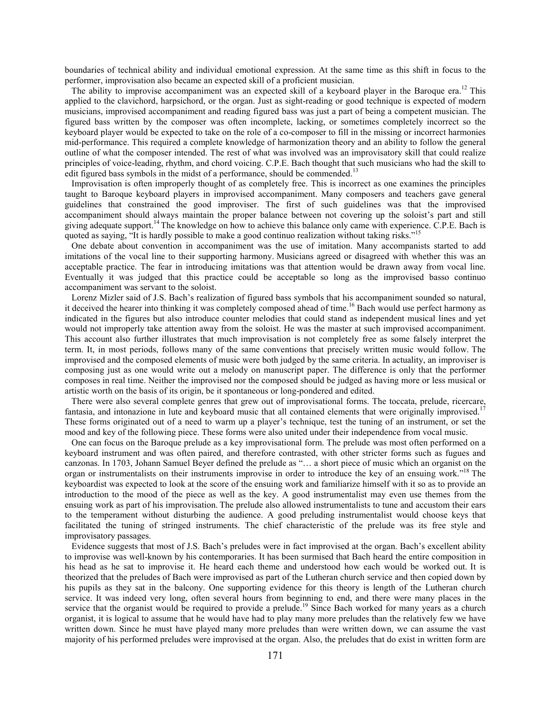boundaries of technical ability and individual emotional expression. At the same time as this shift in focus to the performer, improvisation also became an expected skill of a proficient musician.

The ability to improvise accompaniment was an expected skill of a keyboard player in the Baroque era.<sup>12</sup> This applied to the clavichord, harpsichord, or the organ. Just as sight-reading or good technique is expected of modern musicians, improvised accompaniment and reading figured bass was just a part of being a competent musician. The figured bass written by the composer was often incomplete, lacking, or sometimes completely incorrect so the keyboard player would be expected to take on the role of a co-composer to fill in the missing or incorrect harmonies mid-performance. This required a complete knowledge of harmonization theory and an ability to follow the general outline of what the composer intended. The rest of what was involved was an improvisatory skill that could realize principles of voice-leading, rhythm, and chord voicing. C.P.E. Bach thought that such musicians who had the skill to edit figured bass symbols in the midst of a performance, should be commended.<sup>13</sup>

 Improvisation is often improperly thought of as completely free. This is incorrect as one examines the principles taught to Baroque keyboard players in improvised accompaniment. Many composers and teachers gave general guidelines that constrained the good improviser. The first of such guidelines was that the improvised accompaniment should always maintain the proper balance between not covering up the soloist's part and still giving adequate support.<sup>14</sup> The knowledge on how to achieve this balance only came with experience. C.P.E. Bach is quoted as saying, "It is hardly possible to make a good continuo realization without taking risks."<sup>15</sup>

 One debate about convention in accompaniment was the use of imitation. Many accompanists started to add imitations of the vocal line to their supporting harmony. Musicians agreed or disagreed with whether this was an acceptable practice. The fear in introducing imitations was that attention would be drawn away from vocal line. Eventually it was judged that this practice could be acceptable so long as the improvised basso continuo accompaniment was servant to the soloist.

 Lorenz Mizler said of J.S. Bach's realization of figured bass symbols that his accompaniment sounded so natural, it deceived the hearer into thinking it was completely composed ahead of time.<sup>16</sup> Bach would use perfect harmony as indicated in the figures but also introduce counter melodies that could stand as independent musical lines and yet would not improperly take attention away from the soloist. He was the master at such improvised accompaniment. This account also further illustrates that much improvisation is not completely free as some falsely interpret the term. It, in most periods, follows many of the same conventions that precisely written music would follow. The improvised and the composed elements of music were both judged by the same criteria. In actuality, an improviser is composing just as one would write out a melody on manuscript paper. The difference is only that the performer composes in real time. Neither the improvised nor the composed should be judged as having more or less musical or artistic worth on the basis of its origin, be it spontaneous or long-pondered and edited.

 There were also several complete genres that grew out of improvisational forms. The toccata, prelude, ricercare, fantasia, and intonazione in lute and keyboard music that all contained elements that were originally improvised.<sup>17</sup> These forms originated out of a need to warm up a player's technique, test the tuning of an instrument, or set the mood and key of the following piece. These forms were also united under their independence from vocal music.

 One can focus on the Baroque prelude as a key improvisational form. The prelude was most often performed on a keyboard instrument and was often paired, and therefore contrasted, with other stricter forms such as fugues and canzonas. In 1703, Johann Samuel Beyer defined the prelude as "… a short piece of music which an organist on the organ or instrumentalists on their instruments improvise in order to introduce the key of an ensuing work."<sup>18</sup> The keyboardist was expected to look at the score of the ensuing work and familiarize himself with it so as to provide an introduction to the mood of the piece as well as the key. A good instrumentalist may even use themes from the ensuing work as part of his improvisation. The prelude also allowed instrumentalists to tune and accustom their ears to the temperament without disturbing the audience. A good preluding instrumentalist would choose keys that facilitated the tuning of stringed instruments. The chief characteristic of the prelude was its free style and improvisatory passages.

 Evidence suggests that most of J.S. Bach's preludes were in fact improvised at the organ. Bach's excellent ability to improvise was well-known by his contemporaries. It has been surmised that Bach heard the entire composition in his head as he sat to improvise it. He heard each theme and understood how each would be worked out. It is theorized that the preludes of Bach were improvised as part of the Lutheran church service and then copied down by his pupils as they sat in the balcony. One supporting evidence for this theory is length of the Lutheran church service. It was indeed very long, often several hours from beginning to end, and there were many places in the service that the organist would be required to provide a prelude.<sup>19</sup> Since Bach worked for many years as a church organist, it is logical to assume that he would have had to play many more preludes than the relatively few we have written down. Since he must have played many more preludes than were written down, we can assume the vast majority of his performed preludes were improvised at the organ. Also, the preludes that do exist in written form are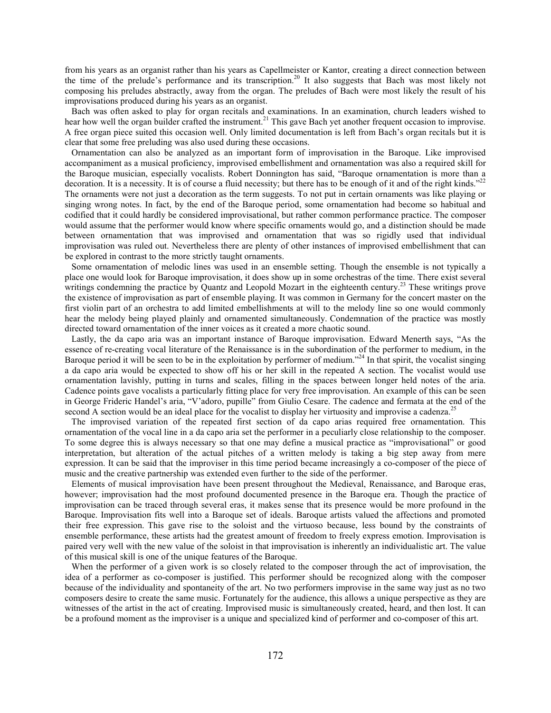from his years as an organist rather than his years as Capellmeister or Kantor, creating a direct connection between the time of the prelude's performance and its transcription.<sup>20</sup> It also suggests that Bach was most likely not composing his preludes abstractly, away from the organ. The preludes of Bach were most likely the result of his improvisations produced during his years as an organist.

 Bach was often asked to play for organ recitals and examinations. In an examination, church leaders wished to hear how well the organ builder crafted the instrument.<sup>21</sup> This gave Bach yet another frequent occasion to improvise. A free organ piece suited this occasion well. Only limited documentation is left from Bach's organ recitals but it is clear that some free preluding was also used during these occasions.

 Ornamentation can also be analyzed as an important form of improvisation in the Baroque. Like improvised accompaniment as a musical proficiency, improvised embellishment and ornamentation was also a required skill for the Baroque musician, especially vocalists. Robert Donnington has said, "Baroque ornamentation is more than a decoration. It is a necessity. It is of course a fluid necessity; but there has to be enough of it and of the right kinds."<sup>22</sup> The ornaments were not just a decoration as the term suggests. To not put in certain ornaments was like playing or singing wrong notes. In fact, by the end of the Baroque period, some ornamentation had become so habitual and codified that it could hardly be considered improvisational, but rather common performance practice. The composer would assume that the performer would know where specific ornaments would go, and a distinction should be made between ornamentation that was improvised and ornamentation that was so rigidly used that individual improvisation was ruled out. Nevertheless there are plenty of other instances of improvised embellishment that can be explored in contrast to the more strictly taught ornaments.

 Some ornamentation of melodic lines was used in an ensemble setting. Though the ensemble is not typically a place one would look for Baroque improvisation, it does show up in some orchestras of the time. There exist several writings condemning the practice by Quantz and Leopold Mozart in the eighteenth century.<sup>23</sup> These writings prove the existence of improvisation as part of ensemble playing. It was common in Germany for the concert master on the first violin part of an orchestra to add limited embellishments at will to the melody line so one would commonly hear the melody being played plainly and ornamented simultaneously. Condemnation of the practice was mostly directed toward ornamentation of the inner voices as it created a more chaotic sound.

 Lastly, the da capo aria was an important instance of Baroque improvisation. Edward Menerth says, "As the essence of re-creating vocal literature of the Renaissance is in the subordination of the performer to medium, in the Baroque period it will be seen to be in the exploitation by performer of medium."<sup>24</sup> In that spirit, the vocalist singing a da capo aria would be expected to show off his or her skill in the repeated A section. The vocalist would use ornamentation lavishly, putting in turns and scales, filling in the spaces between longer held notes of the aria. Cadence points gave vocalists a particularly fitting place for very free improvisation. An example of this can be seen in George Frideric Handel's aria, "V'adoro, pupille" from Giulio Cesare. The cadence and fermata at the end of the second A section would be an ideal place for the vocalist to display her virtuosity and improvise a cadenza.<sup>25</sup>

 The improvised variation of the repeated first section of da capo arias required free ornamentation. This ornamentation of the vocal line in a da capo aria set the performer in a peculiarly close relationship to the composer. To some degree this is always necessary so that one may define a musical practice as "improvisational" or good interpretation, but alteration of the actual pitches of a written melody is taking a big step away from mere expression. It can be said that the improviser in this time period became increasingly a co-composer of the piece of music and the creative partnership was extended even further to the side of the performer.

 Elements of musical improvisation have been present throughout the Medieval, Renaissance, and Baroque eras, however; improvisation had the most profound documented presence in the Baroque era. Though the practice of improvisation can be traced through several eras, it makes sense that its presence would be more profound in the Baroque. Improvisation fits well into a Baroque set of ideals. Baroque artists valued the affections and promoted their free expression. This gave rise to the soloist and the virtuoso because, less bound by the constraints of ensemble performance, these artists had the greatest amount of freedom to freely express emotion. Improvisation is paired very well with the new value of the soloist in that improvisation is inherently an individualistic art. The value of this musical skill is one of the unique features of the Baroque.

 When the performer of a given work is so closely related to the composer through the act of improvisation, the idea of a performer as co-composer is justified. This performer should be recognized along with the composer because of the individuality and spontaneity of the art. No two performers improvise in the same way just as no two composers desire to create the same music. Fortunately for the audience, this allows a unique perspective as they are witnesses of the artist in the act of creating. Improvised music is simultaneously created, heard, and then lost. It can be a profound moment as the improviser is a unique and specialized kind of performer and co-composer of this art.